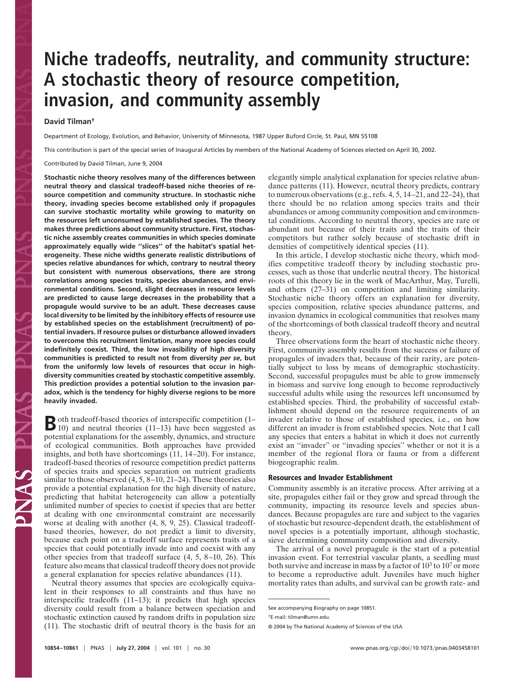# **Niche tradeoffs, neutrality, and community structure: A stochastic theory of resource competition, invasion, and community assembly**

# **David Tilman†**

Department of Ecology, Evolution, and Behavior, University of Minnesota, 1987 Upper Buford Circle, St. Paul, MN 55108

This contribution is part of the special series of Inaugural Articles by members of the National Academy of Sciences elected on April 30, 2002.

Contributed by David Tilman, June 9, 2004

**Stochastic niche theory resolves many of the differences between neutral theory and classical tradeoff-based niche theories of resource competition and community structure. In stochastic niche theory, invading species become established only if propagules can survive stochastic mortality while growing to maturity on the resources left unconsumed by established species. The theory makes three predictions about community structure. First, stochastic niche assembly creates communities in which species dominate approximately equally wide ''slices'' of the habitat's spatial heterogeneity. These niche widths generate realistic distributions of species relative abundances for which, contrary to neutral theory but consistent with numerous observations, there are strong correlations among species traits, species abundances, and environmental conditions. Second, slight decreases in resource levels are predicted to cause large decreases in the probability that a propagule would survive to be an adult. These decreases cause local diversity to be limited by the inhibitory effects of resource use by established species on the establishment (recruitment) of potential invaders. If resource pulses or disturbance allowed invaders to overcome this recruitment limitation, many more species could indefinitely coexist. Third, the low invasibility of high diversity communities is predicted to result not from diversity** *per se***, but from the uniformly low levels of resources that occur in highdiversity communities created by stochastic competitive assembly. This prediction provides a potential solution to the invasion paradox, which is the tendency for highly diverse regions to be more heavily invaded.**

**B**oth tradeoff-based theories of interspecific competition (1–<br>10) and neutral theories (11–13) have been suggested as potential explanations for the assembly, dynamics, and structure of ecological communities. Both approaches have provided insights, and both have shortcomings (11, 14–20). For instance, tradeoff-based theories of resource competition predict patterns of species traits and species separation on nutrient gradients similar to those observed (4, 5, 8–10, 21–24). These theories also provide a potential explanation for the high diversity of nature, predicting that habitat heterogeneity can allow a potentially unlimited number of species to coexist if species that are better at dealing with one environmental constraint are necessarily worse at dealing with another (4, 8, 9, 25). Classical tradeoffbased theories, however, do not predict a limit to diversity, because each point on a tradeoff surface represents traits of a species that could potentially invade into and coexist with any other species from that tradeoff surface (4, 5, 8–10, 26). This feature also means that classical tradeoff theory does not provide a general explanation for species relative abundances (11).

Neutral theory assumes that species are ecologically equivalent in their responses to all constraints and thus have no interspecific tradeoffs (11–13); it predicts that high species diversity could result from a balance between speciation and stochastic extinction caused by random drifts in population size (11). The stochastic drift of neutral theory is the basis for an elegantly simple analytical explanation for species relative abundance patterns (11). However, neutral theory predicts, contrary to numerous observations (e.g., refs. 4, 5, 14–21, and 22–24), that there should be no relation among species traits and their abundances or among community composition and environmental conditions. According to neutral theory, species are rare or abundant not because of their traits and the traits of their competitors but rather solely because of stochastic drift in densities of competitively identical species (11).

In this article, I develop stochastic niche theory, which modifies competitive tradeoff theory by including stochastic processes, such as those that underlie neutral theory. The historical roots of this theory lie in the work of MacArthur, May, Turelli, and others (27–31) on competition and limiting similarity. Stochastic niche theory offers an explanation for diversity, species composition, relative species abundance patterns, and invasion dynamics in ecological communities that resolves many of the shortcomings of both classical tradeoff theory and neutral theory.

Three observations form the heart of stochastic niche theory. First, community assembly results from the success or failure of propagules of invaders that, because of their rarity, are potentially subject to loss by means of demographic stochasticity. Second, successful propagules must be able to grow immensely in biomass and survive long enough to become reproductively successful adults while using the resources left unconsumed by established species. Third, the probability of successful establishment should depend on the resource requirements of an invader relative to those of established species, i.e., on how different an invader is from established species. Note that I call any species that enters a habitat in which it does not currently exist an ''invader'' or ''invading species'' whether or not it is a member of the regional flora or fauna or from a different biogeographic realm.

### **Resources and Invader Establishment**

Community assembly is an iterative process. After arriving at a site, propagules either fail or they grow and spread through the community, impacting its resource levels and species abundances. Because propagules are rare and subject to the vagaries of stochastic but resource-dependent death, the establishment of novel species is a potentially important, although stochastic, sieve determining community composition and diversity.

The arrival of a novel propagule is the start of a potential invasion event. For terrestrial vascular plants, a seedling must both survive and increase in mass by a factor of  $10<sup>3</sup>$  to  $10<sup>7</sup>$  or more to become a reproductive adult. Juveniles have much higher mortality rates than adults, and survival can be growth rate- and

See accompanying Biography on page 10851.

<sup>†</sup>E-mail: tilman@umn.edu.

<sup>© 2004</sup> by The National Academy of Sciences of the USA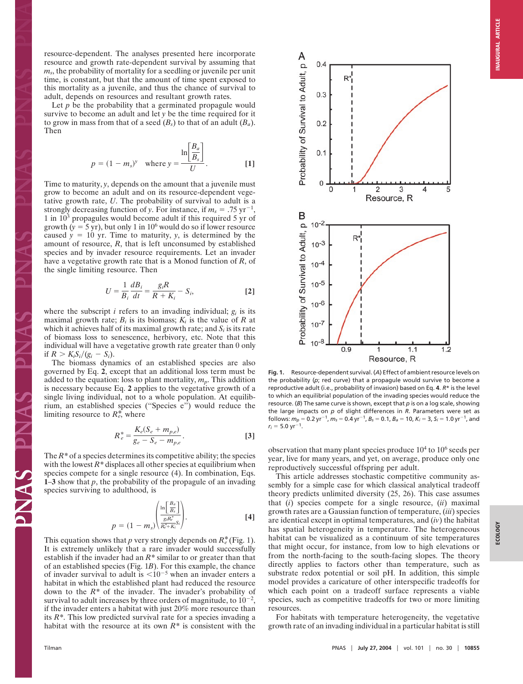resource-dependent. The analyses presented here incorporate resource and growth rate-dependent survival by assuming that *ms*, the probability of mortality for a seedling or juvenile per unit time, is constant, but that the amount of time spent exposed to this mortality as a juvenile, and thus the chance of survival to adult, depends on resources and resultant growth rates.

Let *p* be the probability that a germinated propagule would survive to become an adult and let *y* be the time required for it to grow in mass from that of a seed  $(B_s)$  to that of an adult  $(B_a)$ . Then

$$
p = (1 - m_s)^y \quad \text{where } y = \frac{\ln \left[\frac{B_a}{B_s}\right]}{U}.
$$
 [1]

Time to maturity, *y*, depends on the amount that a juvenile must grow to become an adult and on its resource-dependent vegetative growth rate, *U*. The probability of survival to adult is a strongly decreasing function of *y*. For instance, if  $m_s = .75 \text{ yr}^{-1}$ , 1 in 10<sup>3</sup> propagules would become adult if this required 5 yr of growth  $(y = 5$  yr), but only 1 in 10<sup>6</sup> would do so if lower resource caused  $y = 10$  yr. Time to maturity, *y*, is determined by the amount of resource, *R*, that is left unconsumed by established species and by invader resource requirements. Let an invader have a vegetative growth rate that is a Monod function of *R*, of the single limiting resource. Then

$$
U = \frac{1}{B_i} \frac{dB_i}{dt} = \frac{g_i R}{R + K_i} - S_i,
$$
 [2]

where the subscript  $i$  refers to an invading individual;  $g_i$  is its maximal growth rate;  $B_i$  is its biomass;  $K_i$  is the value of  $R$  at which it achieves half of its maximal growth rate; and  $S_i$  is its rate of biomass loss to senescence, herbivory, etc. Note that this individual will have a vegetative growth rate greater than 0 only if  $R > K_i S_i / (g_i - S_i)$ .

The biomass dynamics of an established species are also governed by Eq. **2**, except that an additional loss term must be added to the equation: loss to plant mortality, *mp*. This addition is necessary because Eq. **2** applies to the vegetative growth of a single living individual, not to a whole population. At equilibrium, an established species (''Species e'') would reduce the limiting resource to  $R_e^*$ , where

$$
R_e^* = \frac{K_e(S_e + m_{p,e})}{g_e - S_e - m_{p,e}}.
$$
 [3]

The  $R^*$  of a species determines its competitive ability; the species with the lowest  $R^*$  displaces all other species at equilibrium when species compete for a single resource  $(4)$ . In combination, Eqs. **1**–**3** show that *p*, the probability of the propagule of an invading species surviving to adulthood, is

$$
p = (1 - m_s) \frac{\left(\frac{\ln\left[\frac{B_a}{B_s}\right]}{g_i R_e^*} \right)}{\left(\frac{R_e^*}{R_e^* + K_i} S_i\right)}.
$$
 [4]

This equation shows that *p* very strongly depends on  $R_e^*$  (Fig. 1). It is extremely unlikely that a rare invader would successfully establish if the invader had an *R\** similar to or greater than that of an established species (Fig. 1*B*). For this example, the chance of invader survival to adult is  $\leq 10^{-5}$  when an invader enters a habitat in which the established plant had reduced the resource down to the *R\** of the invader. The invader's probability of survival to adult increases by three orders of magnitude, to  $10^{-2}$ , if the invader enters a habitat with just 20% more resource than its *R\**. This low predicted survival rate for a species invading a habitat with the resource at its own *R\** is consistent with the



**Fig. 1.** Resource-dependent survival. (*A*) Effect of ambient resource levels on the probability (*p*; red curve) that a propagule would survive to become a reproductive adult (i.e., probability of invasion) based on Eq. **4**. *R*\* is the level to which an equilibrial population of the invading species would reduce the resource. (*B*) The same curve is shown, except that *p* is on a log scale, showing the large impacts on *p* of slight differences in *R*. Parameters were set as follows:  $m_p = 0.2$  yr<sup>-1</sup>,  $m_s = 0.4$  yr<sup>-1</sup>,  $B_s = 0.1$ ,  $B_a = 10$ ,  $K_i = 3$ ,  $S_i = 1.0$  yr<sup>-1</sup>, and  $r_i = 5.0 \text{ yr}^{-1}$ .

observation that many plant species produce  $10<sup>4</sup>$  to  $10<sup>6</sup>$  seeds per year, live for many years, and yet, on average, produce only one reproductively successful offspring per adult.

This article addresses stochastic competitive community assembly for a simple case for which classical analytical tradeoff theory predicts unlimited diversity (25, 26). This case assumes that (*i*) species compete for a single resource, (*ii*) maximal growth rates are a Gaussian function of temperature, (*iii*) species are identical except in optimal temperatures, and (*iv*) the habitat has spatial heterogeneity in temperature. The heterogeneous habitat can be visualized as a continuum of site temperatures that might occur, for instance, from low to high elevations or from the north-facing to the south-facing slopes. The theory directly applies to factors other than temperature, such as substrate redox potential or soil pH. In addition, this simple model provides a caricature of other interspecific tradeoffs for which each point on a tradeoff surface represents a viable species, such as competitive tradeoffs for two or more limiting resources.

For habitats with temperature heterogeneity, the vegetative growth rate of an invading individual in a particular habitat is still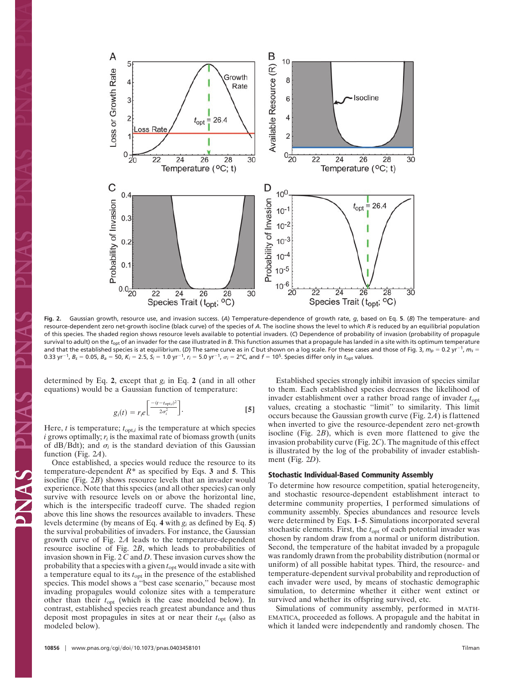

**Fig. 2.** Gaussian growth, resource use, and invasion success. (*A*) Temperature-dependence of growth rate, *g*, based on Eq. **5**. (*B*) The temperature- and resource-dependent zero net-growth isocline (black curve) of the species of *A*. The isocline shows the level to which *R* is reduced by an equilibrial population of this species. The shaded region shows resource levels available to potential invaders. (*C*) Dependence of probability of invasion (probability of propagule survival to adult) on the *t<sub>opt</sub>* of an invader for the case illustrated in *B*. This function assumes that a propagule has landed in a site with its optimum temperature and that the established species is at equilibrium. (D) The same curve as in C but shown on a log scale. For these cases and those of Fig. 3,  $m_p = 0.2$  yr<sup>-1</sup>,  $m_s = 0.2$ 0.33 yr<sup>-1</sup>,  $B_s = 0.05$ ,  $B_a = 50$ ,  $K_i = 2.5$ ,  $S_i = 1.0$  yr<sup>-1</sup>,  $r_i = 5.0$  yr<sup>-1</sup>,  $\sigma_i = 2$ °C, and  $f = 10^5$ . Species differ only in  $t_{opt}$  values.

determined by Eq. **2**, except that *gi* in Eq. **2** (and in all other equations) would be a Gaussian function of temperature:

$$
g_i(t) = r_i e^{\left[\frac{-(t - t_{\text{opt},i})^2}{2\sigma_i^2}\right]}.
$$
 [5]

Here,  $t$  is temperature;  $t_{opt,i}$  is the temperature at which species  $i$  grows optimally;  $r_i$  is the maximal rate of biomass growth (units of  $dB/Bdt$ ); and  $\sigma_i$  is the standard deviation of this Gaussian function (Fig. 2*A*).

Once established, a species would reduce the resource to its temperature-dependent *R\** as specified by Eqs. **3** and **5**. This isocline (Fig. 2*B*) shows resource levels that an invader would experience. Note that this species (and all other species) can only survive with resource levels on or above the horizontal line, which is the interspecific tradeoff curve. The shaded region above this line shows the resources available to invaders. These levels determine (by means of Eq. **4** with *gi* as defined by Eq. **5**) the survival probabilities of invaders. For instance, the Gaussian growth curve of Fig. 2*A* leads to the temperature-dependent resource isocline of Fig. 2*B*, which leads to probabilities of invasion shown in Fig. 2 *C* and *D*. These invasion curves show the probability that a species with a given *t*opt would invade a site with a temperature equal to its  $t_{opt}$  in the presence of the established species. This model shows a ''best case scenario,'' because most invading propagules would colonize sites with a temperature other than their *t*opt (which is the case modeled below). In contrast, established species reach greatest abundance and thus deposit most propagules in sites at or near their *t*opt (also as modeled below).

Established species strongly inhibit invasion of species similar to them. Each established species decreases the likelihood of invader establishment over a rather broad range of invader  $t_{\text{opt}}$ values, creating a stochastic ''limit'' to similarity. This limit occurs because the Gaussian growth curve (Fig. 2*A*) is flattened when inverted to give the resource-dependent zero net-growth isocline (Fig. 2*B*), which is even more flattened to give the invasion probability curve (Fig. 2*C*). The magnitude of this effect is illustrated by the log of the probability of invader establishment (Fig. 2*D*).

## **Stochastic Individual-Based Community Assembly**

To determine how resource competition, spatial heterogeneity, and stochastic resource-dependent establishment interact to determine community properties, I performed simulations of community assembly. Species abundances and resource levels were determined by Eqs. **1**–**5**. Simulations incorporated several stochastic elements. First, the  $t_{\text{opt}}$  of each potential invader was chosen by random draw from a normal or uniform distribution. Second, the temperature of the habitat invaded by a propagule was randomly drawn from the probability distribution (normal or uniform) of all possible habitat types. Third, the resource- and temperature-dependent survival probability and reproduction of each invader were used, by means of stochastic demographic simulation, to determine whether it either went extinct or survived and whether its offspring survived, etc.

Simulations of community assembly, performed in MATH-EMATICA, proceeded as follows. A propagule and the habitat in which it landed were independently and randomly chosen. The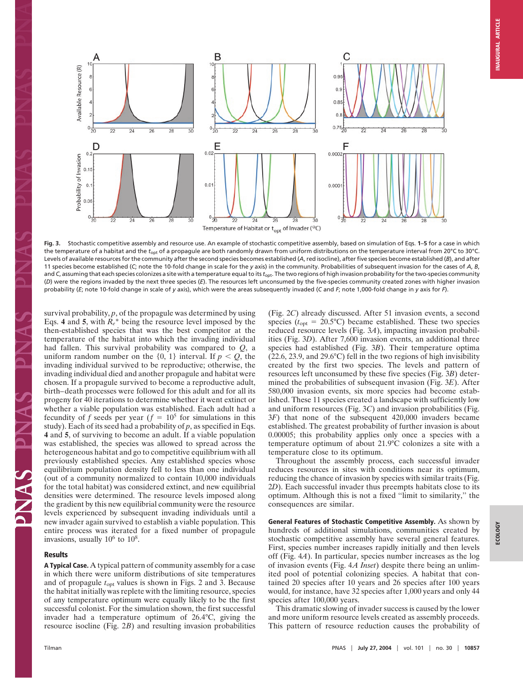

**Fig. 3.** Stochastic competitive assembly and resource use. An example of stochastic competitive assembly, based on simulation of Eqs. **1**–**5** for a case in which the temperature of a habitat and the *t*opt of a propagule are both randomly drawn from uniform distributions on the temperature interval from 20°C to 30°C. Levels of available resources for the community after the second species becomes established (*A*, red isocline), after five species become established (*B*), and after 11 species become established (*C*; note the 10-fold change in scale for the *y* axis) in the community. Probabilities of subsequent invasion for the cases of *A*, *B*, and *C*, assuming that each species colonizes a site with a temperature equal to its*t*opt. The two regions of high invasion probability for the two-species community (*D*) were the regions invaded by the next three species (*E*). The resources left unconsumed by the five-species community created zones with higher invasion probability (*E*; note 10-fold change in scale of *y* axis), which were the areas subsequently invaded (*C* and *F*; note 1,000-fold change in *y* axis for *F*).

survival probability, *p*, of the propagule was determined by using Eqs. 4 and 5, with  $R_e^*$  being the resource level imposed by the then-established species that was the best competitor at the temperature of the habitat into which the invading individual had fallen. This survival probability was compared to *Q*, a uniform random number on the  $\{0, 1\}$  interval. If  $p < Q$ , the invading individual survived to be reproductive; otherwise, the invading individual died and another propagule and habitat were chosen. If a propagule survived to become a reproductive adult, birth–death processes were followed for this adult and for all its progeny for 40 iterations to determine whether it went extinct or whether a viable population was established. Each adult had a fecundity of *f* seeds per year  $(f = 10^5$  for simulations in this study). Each of its seed had a probability of *p*, as specified in Eqs. **4** and **5**, of surviving to become an adult. If a viable population was established, the species was allowed to spread across the heterogeneous habitat and go to competitive equilibrium with all previously established species. Any established species whose equilibrium population density fell to less than one individual (out of a community normalized to contain 10,000 individuals for the total habitat) was considered extinct, and new equilibrial densities were determined. The resource levels imposed along the gradient by this new equilibrial community were the resource levels experienced by subsequent invading individuals until a new invader again survived to establish a viable population. This entire process was iterated for a fixed number of propagule invasions, usually  $10^6$  to  $10^8$ .

## **Results**

**ANA** 

**A Typical Case.** A typical pattern of community assembly for a case in which there were uniform distributions of site temperatures and of propagule  $t_{opt}$  values is shown in Figs. 2 and 3. Because the habitat initially was replete with the limiting resource, species of any temperature optimum were equally likely to be the first successful colonist. For the simulation shown, the first successful invader had a temperature optimum of 26.4°C, giving the resource isocline (Fig. 2*B*) and resulting invasion probabilities (Fig. 2*C*) already discussed. After 51 invasion events, a second species ( $t_{\text{opt}} = 20.5$ °C) became established. These two species reduced resource levels (Fig. 3*A*), impacting invasion probabilities (Fig. 3*D*). After 7,600 invasion events, an additional three species had established (Fig. 3*B*). Their temperature optima (22.6, 23.9, and 29.6°C) fell in the two regions of high invisibility created by the first two species. The levels and pattern of resources left unconsumed by these five species (Fig. 3*B*) determined the probabilities of subsequent invasion (Fig. 3*E*). After 580,000 invasion events, six more species had become established. These 11 species created a landscape with sufficiently low and uniform resources (Fig. 3*C*) and invasion probabilities (Fig. 3*F*) that none of the subsequent 420,000 invaders became established. The greatest probability of further invasion is about 0.00005; this probability applies only once a species with a temperature optimum of about 21.9°C colonizes a site with a temperature close to its optimum.

Throughout the assembly process, each successful invader reduces resources in sites with conditions near its optimum, reducing the chance of invasion by species with similar traits (Fig. 2*D*). Each successful invader thus preempts habitats close to its optimum. Although this is not a fixed ''limit to similarity,'' the consequences are similar.

**General Features of Stochastic Competitive Assembly.** As shown by hundreds of additional simulations, communities created by stochastic competitive assembly have several general features. First, species number increases rapidly initially and then levels off (Fig. 4*A*). In particular, species number increases as the log of invasion events (Fig. 4*A Inset*) despite there being an unlimited pool of potential colonizing species. A habitat that contained 20 species after 10 years and 26 species after 100 years would, for instance, have 32 species after 1,000 years and only 44 species after 100,000 years.

This dramatic slowing of invader success is caused by the lower and more uniform resource levels created as assembly proceeds. This pattern of resource reduction causes the probability of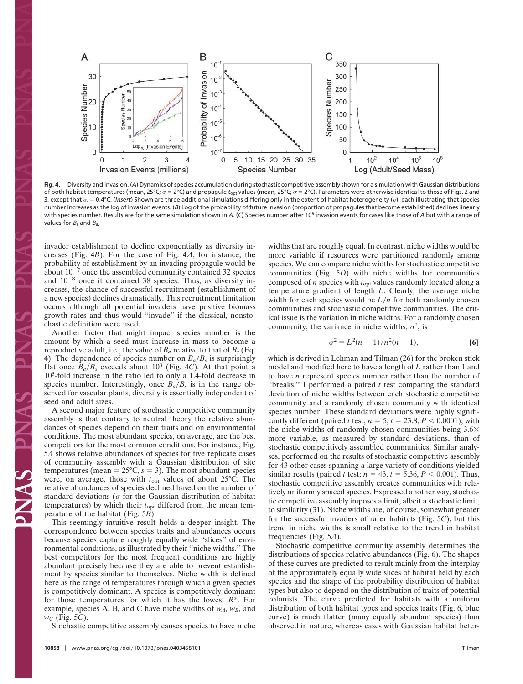

**Fig. 4.** Diversity and invasion. (*A*) Dynamics of species accumulation during stochastic competitive assembly shown for a simulation with Gaussian distributions of both habitat temperatures (mean, 25°C;  $\sigma = 2^{\circ}$ C) and propagule  $t_{opt}$  values (mean, 25°C;  $\sigma = 2^{\circ}$ C). Parameters were otherwise identical to those of Figs. 2 and 3, except that  $\sigma_i = 0.4$ °C. (*Insert*) Shown are three additional simulations differing only in the extent of habitat heterogeneity ( $\sigma$ ), each illustrating that species number increases as the log of invasion events. (*B*) Log of the probability of future invasion (proportion of propagules that become established) declines linearly with species number. Results are for the same simulation shown in *A*. (*C*) Species number after 106 invasion events for cases like those of *A* but with a range of values for *Bs* and *Ba.*

invader establishment to decline exponentially as diversity increases (Fig. 4*B*). For the case of Fig. 4*A*, for instance, the probability of establishment by an invading propagule would be about  $10^{-7}$  once the assembled community contained 32 species and  $10^{-8}$  once it contained 38 species. Thus, as diversity increases, the chance of successful recruitment (establishment of a new species) declines dramatically. This recruitment limitation occurs although all potential invaders have positive biomass growth rates and thus would ''invade'' if the classical, nonstochastic definition were used.

Another factor that might impact species number is the amount by which a seed must increase in mass to become a reproductive adult, i.e., the value of  $B_a$  relative to that of  $B_s$  (Eq. **4**). The dependence of species number on  $B_a/B_s$  is surprisingly flat once  $B_a/B_s$  exceeds about 10<sup>3</sup> (Fig. 4*C*). At that point a 105-fold increase in the ratio led to only a 1.4-fold decrease in species number. Interestingly, once  $B_a/B_s$  is in the range observed for vascular plants, diversity is essentially independent of seed and adult sizes.

A second major feature of stochastic competitive community assembly is that contrary to neutral theory the relative abundances of species depend on their traits and on environmental conditions. The most abundant species, on average, are the best competitors for the most common conditions. For instance, Fig. 5*A* shows relative abundances of species for five replicate cases of community assembly with a Gaussian distribution of site temperatures (mean  $= 25^{\circ}\text{C}, s = 3$ ). The most abundant species were, on average, those with  $t_{\text{opt}}$  values of about 25 $^{\circ}$ C. The relative abundances of species declined based on the number of standard deviations ( $\sigma$  for the Gaussian distribution of habitat temperatures) by which their *t*opt differed from the mean temperature of the habitat (Fig. 5*B*).

This seemingly intuitive result holds a deeper insight. The correspondence between species traits and abundances occurs because species capture roughly equally wide ''slices'' of environmental conditions, as illustrated by their ''niche widths.'' The best competitors for the most frequent conditions are highly abundant precisely because they are able to prevent establishment by species similar to themselves. Niche width is defined here as the range of temperatures through which a given species is competitively dominant. A species is competitively dominant for those temperatures for which it has the lowest *R\**. For example, species A, B, and C have niche widths of  $w_A$ ,  $w_B$ , and *wC* (Fig. 5*C*).

Stochastic competitive assembly causes species to have niche

**<sup>10858</sup>** www.pnas.org-cgi-doi-10.1073-pnas.0403458101 Tilman

widths that are roughly equal. In contrast, niche widths would be more variable if resources were partitioned randomly among species. We can compare niche widths for stochastic competitive communities (Fig. 5*D*) with niche widths for communities composed of *n* species with *t*opt values randomly located along a temperature gradient of length *L*. Clearly, the average niche width for each species would be  $L/n$  for both randomly chosen communities and stochastic competitive communities. The critical issue is the variation in niche widths. For a randomly chosen community, the variance in niche widths,  $\sigma^2$ , is

$$
\sigma^2 = L^2(n-1)/n^2(n+1),
$$
 [6]

which is derived in Lehman and Tilman (26) for the broken stick model and modified here to have a length of *L* rather than 1 and to have *n* represent species number rather than the number of "breaks." I performed a paired *t* test comparing the standard deviation of niche widths between each stochastic competitive community and a randomly chosen community with identical species number. These standard deviations were highly significantly different (paired *t* test;  $n = 5$ ,  $t = 23.8$ ,  $P < 0.0001$ ), with the niche widths of randomly chosen communities being  $3.6\times$ more variable, as measured by standard deviations, than of stochastic competitively assembled communities. Similar analyses, performed on the results of stochastic competitive assembly for 43 other cases spanning a large variety of conditions yielded similar results (paired *t* test;  $n = 43$ ,  $t = 5.36$ ,  $P < 0.001$ ). Thus, stochastic competitive assembly creates communities with relatively uniformly spaced species. Expressed another way, stochastic competitive assembly imposes a limit, albeit a stochastic limit, to similarity (31). Niche widths are, of course, somewhat greater for the successful invaders of rarer habitats (Fig. 5*C*), but this trend in niche widths is small relative to the trend in habitat frequencies (Fig. 5*A*).

Stochastic competitive community assembly determines the distributions of species relative abundances (Fig. 6). The shapes of these curves are predicted to result mainly from the interplay of the approximately equally wide slices of habitat held by each species and the shape of the probability distribution of habitat types but also to depend on the distribution of traits of potential colonists. The curve predicted for habitats with a uniform distribution of both habitat types and species traits (Fig. 6, blue curve) is much flatter (many equally abundant species) than observed in nature, whereas cases with Gaussian habitat heter-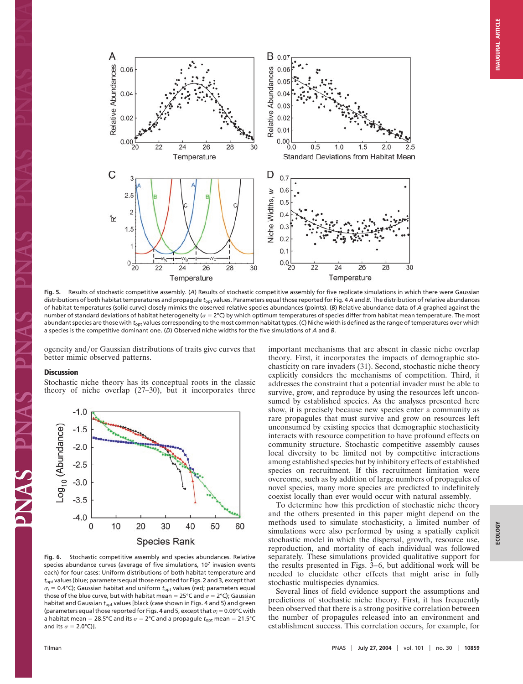

**Fig. 5.** Results of stochastic competitive assembly. (*A*) Results of stochastic competitive assembly for five replicate simulations in which there were Gaussian distributions of both habitat temperatures and propagule t<sub>opt</sub> values. Parameters equal those reported for Fig. 4 *A* and *B*. The distribution of relative abundances of habitat temperatures (solid curve) closely mimics the observed relative species abundances (points). (*B*) Relative abundance data of *A* graphed against the number of standard deviations of habitat heterogeneity ( $\sigma = 2^{\circ}$ C) by which optimum temperatures of species differ from habitat mean temperature. The most abundant species are those with *t*opt values corresponding to the most common habitat types. (*C*) Niche width is defined as the range of temperatures over which a species is the competitive dominant one. (*D*) Observed niche widths for the five simulations of *A* and *B*.

ogeneity and/or Gaussian distributions of traits give curves that better mimic observed patterns.

#### **Discussion**

Stochastic niche theory has its conceptual roots in the classic theory of niche overlap (27–30), but it incorporates three



**Fig. 6.** Stochastic competitive assembly and species abundances. Relative species abundance curves (average of five simulations,  $10<sup>7</sup>$  invasion events each) for four cases: Uniform distributions of both habitat temperature and *t*opt values (blue; parameters equal those reported for Figs. 2 and 3, except that  $\sigma_i$  = 0.4°C); Gaussian habitat and uniform  $t_{\rm opt}$  values (red; parameters equal those of the blue curve, but with habitat mean =  $25^{\circ}$ C and  $\sigma = 2^{\circ}$ C); Gaussian habitat and Gaussian  $t_{\text{opt}}$  values [black (case shown in Figs. 4 and 5) and green (parameters equal those reported for Figs. 4 and 5, except that  $\sigma_i$  = 0.09°C with a habitat mean = 28.5°C and its  $\sigma = 2$ °C and a propagule  $t_{\text{oot}}$  mean = 21.5°C and its  $\sigma = 2.0^{\circ}$ C)].

important mechanisms that are absent in classic niche overlap theory. First, it incorporates the impacts of demographic stochasticity on rare invaders (31). Second, stochastic niche theory explicitly considers the mechanisms of competition. Third, it addresses the constraint that a potential invader must be able to survive, grow, and reproduce by using the resources left unconsumed by established species. As the analyses presented here show, it is precisely because new species enter a community as rare propagules that must survive and grow on resources left unconsumed by existing species that demographic stochasticity interacts with resource competition to have profound effects on community structure. Stochastic competitive assembly causes local diversity to be limited not by competitive interactions among established species but by inhibitory effects of established species on recruitment. If this recruitment limitation were overcome, such as by addition of large numbers of propagules of novel species, many more species are predicted to indefinitely coexist locally than ever would occur with natural assembly.

To determine how this prediction of stochastic niche theory and the others presented in this paper might depend on the methods used to simulate stochasticity, a limited number of simulations were also performed by using a spatially explicit stochastic model in which the dispersal, growth, resource use, reproduction, and mortality of each individual was followed separately. These simulations provided qualitative support for the results presented in Figs. 3–6, but additional work will be needed to elucidate other effects that might arise in fully stochastic multispecies dynamics.

Several lines of field evidence support the assumptions and predictions of stochastic niche theory. First, it has frequently been observed that there is a strong positive correlation between the number of propagules released into an environment and establishment success. This correlation occurs, for example, for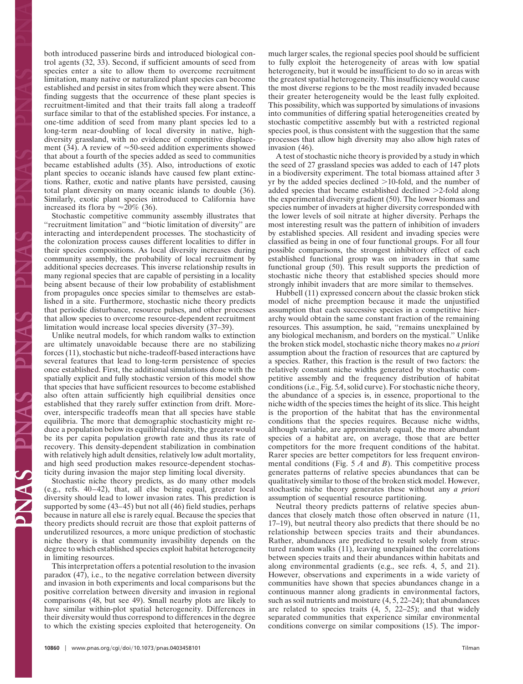both introduced passerine birds and introduced biological control agents (32, 33). Second, if sufficient amounts of seed from species enter a site to allow them to overcome recruitment limitation, many native or naturalized plant species can become established and persist in sites from which they were absent. This finding suggests that the occurrence of these plant species is recruitment-limited and that their traits fall along a tradeoff surface similar to that of the established species. For instance, a one-time addition of seed from many plant species led to a long-term near-doubling of local diversity in native, highdiversity grassland, with no evidence of competitive displacement (34). A review of  $\approx$  50-seed addition experiments showed that about a fourth of the species added as seed to communities became established adults (35). Also, introductions of exotic plant species to oceanic islands have caused few plant extinctions. Rather, exotic and native plants have persisted, causing total plant diversity on many oceanic islands to double (36). Similarly, exotic plant species introduced to California have increased its flora by  $\approx 20\%$  (36).

Stochastic competitive community assembly illustrates that "recruitment limitation" and "biotic limitation of diversity" are interacting and interdependent processes. The stochasticity of the colonization process causes different localities to differ in their species compositions. As local diversity increases during community assembly, the probability of local recruitment by additional species decreases. This inverse relationship results in many regional species that are capable of persisting in a locality being absent because of their low probability of establishment from propagules once species similar to themselves are established in a site. Furthermore, stochastic niche theory predicts that periodic disturbance, resource pulses, and other processes that allow species to overcome resource-dependent recruitment limitation would increase local species diversity (37–39).

Unlike neutral models, for which random walks to extinction are ultimately unavoidable because there are no stabilizing forces (11), stochastic but niche-tradeoff-based interactions have several features that lead to long-term persistence of species once established. First, the additional simulations done with the spatially explicit and fully stochastic version of this model show that species that have sufficient resources to become established also often attain sufficiently high equilibrial densities once established that they rarely suffer extinction from drift. Moreover, interspecific tradeoffs mean that all species have stable equilibria. The more that demographic stochasticity might reduce a population below its equilibrial density, the greater would be its per capita population growth rate and thus its rate of recovery. This density-dependent stabilization in combination with relatively high adult densities, relatively low adult mortality, and high seed production makes resource-dependent stochasticity during invasion the major step limiting local diversity.

Stochastic niche theory predicts, as do many other models (e.g., refs. 40–42), that, all else being equal, greater local diversity should lead to lower invasion rates. This prediction is supported by some (43–45) but not all (46) field studies, perhaps because in nature all else is rarely equal. Because the species that theory predicts should recruit are those that exploit patterns of underutilized resources, a more unique prediction of stochastic niche theory is that community invasibility depends on the degree to which established species exploit habitat heterogeneity in limiting resources.

This interpretation offers a potential resolution to the invasion paradox (47), i.e., to the negative correlation between diversity and invasion in both experiments and local comparisons but the positive correlation between diversity and invasion in regional comparisons (48, but see 49). Small nearby plots are likely to have similar within-plot spatial heterogeneity. Differences in their diversity would thus correspond to differences in the degree to which the existing species exploited that heterogeneity. On much larger scales, the regional species pool should be sufficient to fully exploit the heterogeneity of areas with low spatial heterogeneity, but it would be insufficient to do so in areas with the greatest spatial heterogeneity. This insufficiency would cause the most diverse regions to be the most readily invaded because their greater heterogeneity would be the least fully exploited. This possibility, which was supported by simulations of invasions into communities of differing spatial heterogeneities created by stochastic competitive assembly but with a restricted regional species pool, is thus consistent with the suggestion that the same processes that allow high diversity may also allow high rates of invasion (46).

A test of stochastic niche theory is provided by a study in which the seed of 27 grassland species was added to each of 147 plots in a biodiversity experiment. The total biomass attained after 3 yr by the added species declined  $>10$ -fold, and the number of added species that became established declined  $>2$ -fold along the experimental diversity gradient (50). The lower biomass and species number of invaders at higher diversity corresponded with the lower levels of soil nitrate at higher diversity. Perhaps the most interesting result was the pattern of inhibition of invaders by established species. All resident and invading species were classified as being in one of four functional groups. For all four possible comparisons, the strongest inhibitory effect of each established functional group was on invaders in that same functional group (50). This result supports the prediction of stochastic niche theory that established species should more strongly inhibit invaders that are more similar to themselves.

Hubbell (11) expressed concern about the classic broken stick model of niche preemption because it made the unjustified assumption that each successive species in a competitive hierarchy would obtain the same constant fraction of the remaining resources. This assumption, he said, ''remains unexplained by any biological mechanism, and borders on the mystical.'' Unlike the broken stick model, stochastic niche theory makes no *a priori* assumption about the fraction of resources that are captured by a species. Rather, this fraction is the result of two factors: the relatively constant niche widths generated by stochastic competitive assembly and the frequency distribution of habitat conditions (i.e., Fig. 5*A*, solid curve). For stochastic niche theory, the abundance of a species is, in essence, proportional to the niche width of the species times the height of its slice. This height is the proportion of the habitat that has the environmental conditions that the species requires. Because niche widths, although variable, are approximately equal, the more abundant species of a habitat are, on average, those that are better competitors for the more frequent conditions of the habitat. Rarer species are better competitors for less frequent environmental conditions (Fig. 5 *A* and *B*). This competitive process generates patterns of relative species abundances that can be qualitatively similar to those of the broken stick model. However, stochastic niche theory generates these without any *a priori* assumption of sequential resource partitioning.

Neutral theory predicts patterns of relative species abundances that closely match those often observed in nature (11, 17–19), but neutral theory also predicts that there should be no relationship between species traits and their abundances. Rather, abundances are predicted to result solely from structured random walks (11), leaving unexplained the correlations between species traits and their abundances within habitats and along environmental gradients (e.g., see refs. 4, 5, and 21). However, observations and experiments in a wide variety of communities have shown that species abundances change in a continuous manner along gradients in environmental factors, such as soil nutrients and moisture (4, 5, 22–24); that abundances are related to species traits (4, 5, 22–25); and that widely separated communities that experience similar environmental conditions converge on similar compositions (15). The impor-

E SANT